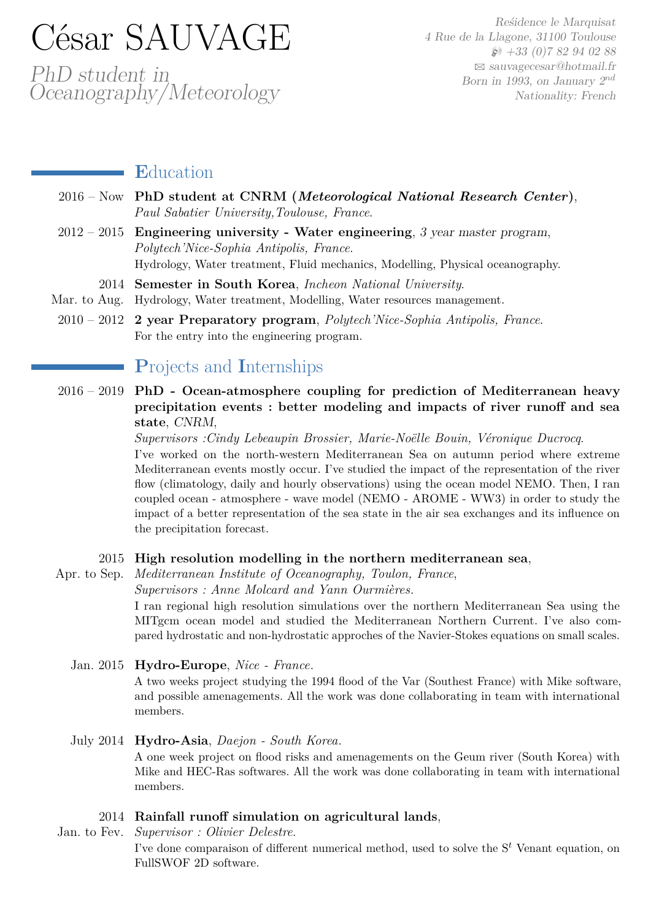# César SAUVAGE

PhD student in Oceanography/Meteorology

Reśidence le Marquisat 4 Rue de la Llagone, 31100 Toulouse  $\wp$  +33 (0)7 82 94 02 88 B [sauvagecesar@hotmail.fr](mailto:sauvagecesar@hotmail.fr) Born in 1993, on January 2*nd* Nationality: French

## **E**ducation

- 2016 Now **PhD student at CNRM (***Meteorological National Research Center***)**, *Paul Sabatier University,Toulouse, France*.
- 2012 2015 **Engineering university Water engineering**, 3 year master program, *Polytech'Nice-Sophia Antipolis, France*. Hydrology, Water treatment, Fluid mechanics, Modelling, Physical oceanography.
	- 2014 **Semester in South Korea**, *Incheon National University*.
- Mar. to Aug. Hydrology, Water treatment, Modelling, Water resources management.
- 2010 2012 **2 year Preparatory program**, *Polytech'Nice-Sophia Antipolis, France*. For the entry into the engineering program.

# **P**rojects and **I**nternships

2016 – 2019 **PhD - Ocean-atmosphere coupling for prediction of Mediterranean heavy precipitation events : better modeling and impacts of river runoff and sea state**, CNRM,

*Supervisors :Cindy Lebeaupin Brossier, Marie-Noëlle Bouin, Véronique Ducrocq*.

I've worked on the north-western Mediterranean Sea on autumn period where extreme Mediterranean events mostly occur. I've studied the impact of the representation of the river flow (climatology, daily and hourly observations) using the ocean model NEMO. Then, I ran coupled ocean - atmosphere - wave model (NEMO - AROME - WW3) in order to study the impact of a better representation of the sea state in the air sea exchanges and its influence on the precipitation forecast.

#### 2015 **High resolution modelling in the northern mediterranean sea**,

Apr. to Sep. *Mediterranean Institute of Oceanography, Toulon, France*,

*Supervisors : Anne Molcard and Yann Ourmières*.

I ran regional high resolution simulations over the northern Mediterranean Sea using the MITgcm ocean model and studied the Mediterranean Northern Current. I've also compared hydrostatic and non-hydrostatic approches of the Navier-Stokes equations on small scales.

Jan. 2015 **Hydro-Europe**, *Nice - France*.

A two weeks project studying the 1994 flood of the Var (Southest France) with Mike software, and possible amenagements. All the work was done collaborating in team with international members.

#### July 2014 **Hydro-Asia**, *Daejon - South Korea*.

A one week project on flood risks and amenagements on the Geum river (South Korea) with Mike and HEC-Ras softwares. All the work was done collaborating in team with international members.

#### 2014 **Rainfall runoff simulation on agricultural lands**,

Jan. to Fev. *Supervisor : Olivier Delestre*. I've done comparaison of different numerical method, used to solve the S*<sup>t</sup>* Venant equation, on FullSWOF 2D software.